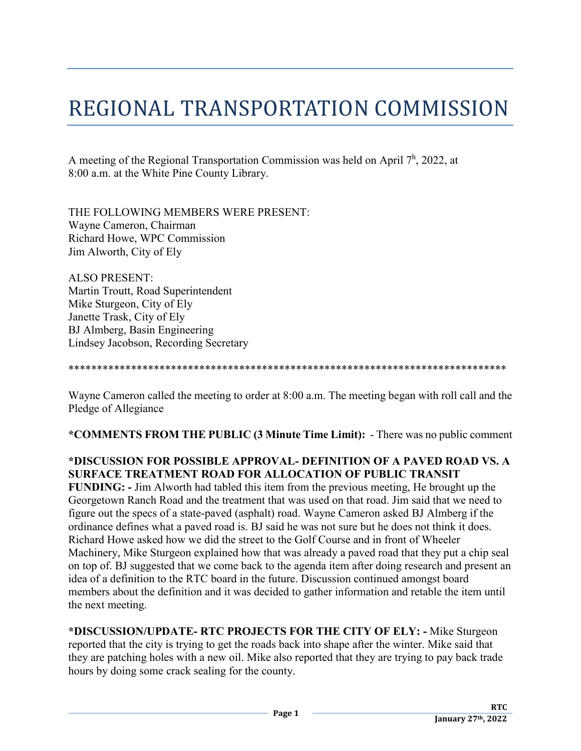## REGIONAL TRANSPORTATION COMMISSION

A meeting of the Regional Transportation Commission was held on April  $7<sup>h</sup>$ , 2022, at 8:00 a.m. at the White Pine County Library.

THE FOLLOWING MEMBERS WERE PRESENT: Wayne Cameron, Chairman Richard Howe, WPC Commission Jim Alworth, City of Ely

ALSO PRESENT: Martin Troutt, Road Superintendent Mike Sturgeon, City of Ely Janette Trask, City of Ely BJ Almberg, Basin Engineering Lindsey Jacobson, Recording Secretary

## \*\*\*\*\*\*\*\*\*\*\*\*\*\*\*\*\*\*\*\*\*\*\*\*\*\*\*\*\*\*\*\*\*\*\*\*\*\*\*\*\*\*\*\*\*\*\*\*\*\*\*\*\*\*\*\*\*\*\*\*\*\*\*\*\*\*\*\*\*\*\*\*\*\*\*\*\*

Wayne Cameron called the meeting to order at 8:00 a.m. The meeting began with roll call and the Pledge of Allegiance

**\*COMMENTS FROM THE PUBLIC (3 Minute Time Limit):** - There was no public comment

## **\*DISCUSSION FOR POSSIBLE APPROVAL- DEFINITION OF A PAVED ROAD VS. A SURFACE TREATMENT ROAD FOR ALLOCATION OF PUBLIC TRANSIT**

**FUNDING: -** Jim Alworth had tabled this item from the previous meeting, He brought up the Georgetown Ranch Road and the treatment that was used on that road. Jim said that we need to figure out the specs of a state-paved (asphalt) road. Wayne Cameron asked BJ Almberg if the ordinance defines what a paved road is. BJ said he was not sure but he does not think it does. Richard Howe asked how we did the street to the Golf Course and in front of Wheeler Machinery, Mike Sturgeon explained how that was already a paved road that they put a chip seal on top of. BJ suggested that we come back to the agenda item after doing research and present an idea of a definition to the RTC board in the future. Discussion continued amongst board members about the definition and it was decided to gather information and retable the item until the next meeting.

**\*DISCUSSION/UPDATE- RTC PROJECTS FOR THE CITY OF ELY: -** Mike Sturgeon reported that the city is trying to get the roads back into shape after the winter. Mike said that they are patching holes with a new oil. Mike also reported that they are trying to pay back trade hours by doing some crack sealing for the county.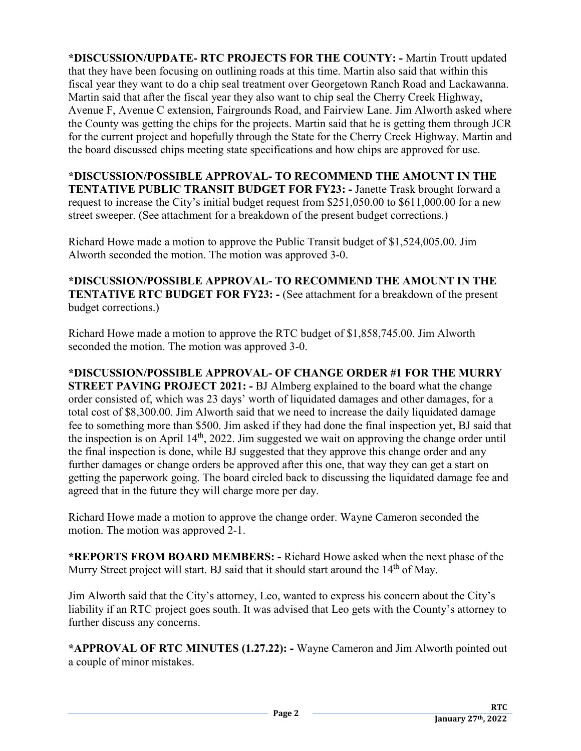**\*DISCUSSION/UPDATE- RTC PROJECTS FOR THE COUNTY: -** Martin Troutt updated that they have been focusing on outlining roads at this time. Martin also said that within this fiscal year they want to do a chip seal treatment over Georgetown Ranch Road and Lackawanna. Martin said that after the fiscal year they also want to chip seal the Cherry Creek Highway, Avenue F, Avenue C extension, Fairgrounds Road, and Fairview Lane. Jim Alworth asked where the County was getting the chips for the projects. Martin said that he is getting them through JCR for the current project and hopefully through the State for the Cherry Creek Highway. Martin and the board discussed chips meeting state specifications and how chips are approved for use.

**\*DISCUSSION/POSSIBLE APPROVAL- TO RECOMMEND THE AMOUNT IN THE TENTATIVE PUBLIC TRANSIT BUDGET FOR FY23: -** Janette Trask brought forward a request to increase the City's initial budget request from \$251,050.00 to \$611,000.00 for a new street sweeper. (See attachment for a breakdown of the present budget corrections.)

Richard Howe made a motion to approve the Public Transit budget of \$1,524,005.00. Jim Alworth seconded the motion. The motion was approved 3-0.

**\*DISCUSSION/POSSIBLE APPROVAL- TO RECOMMEND THE AMOUNT IN THE TENTATIVE RTC BUDGET FOR FY23: -** (See attachment for a breakdown of the present budget corrections.)

Richard Howe made a motion to approve the RTC budget of \$1,858,745.00. Jim Alworth seconded the motion. The motion was approved 3-0.

**\*DISCUSSION/POSSIBLE APPROVAL- OF CHANGE ORDER #1 FOR THE MURRY STREET PAVING PROJECT 2021: -** BJ Almberg explained to the board what the change order consisted of, which was 23 days' worth of liquidated damages and other damages, for a total cost of \$8,300.00. Jim Alworth said that we need to increase the daily liquidated damage fee to something more than \$500. Jim asked if they had done the final inspection yet, BJ said that the inspection is on April 14th, 2022. Jim suggested we wait on approving the change order until the final inspection is done, while BJ suggested that they approve this change order and any further damages or change orders be approved after this one, that way they can get a start on getting the paperwork going. The board circled back to discussing the liquidated damage fee and agreed that in the future they will charge more per day.

Richard Howe made a motion to approve the change order. Wayne Cameron seconded the motion. The motion was approved 2-1.

**\*REPORTS FROM BOARD MEMBERS: -** Richard Howe asked when the next phase of the Murry Street project will start. BJ said that it should start around the  $14<sup>th</sup>$  of May.

Jim Alworth said that the City's attorney, Leo, wanted to express his concern about the City's liability if an RTC project goes south. It was advised that Leo gets with the County's attorney to further discuss any concerns.

**\*APPROVAL OF RTC MINUTES (1.27.22): -** Wayne Cameron and Jim Alworth pointed out a couple of minor mistakes.